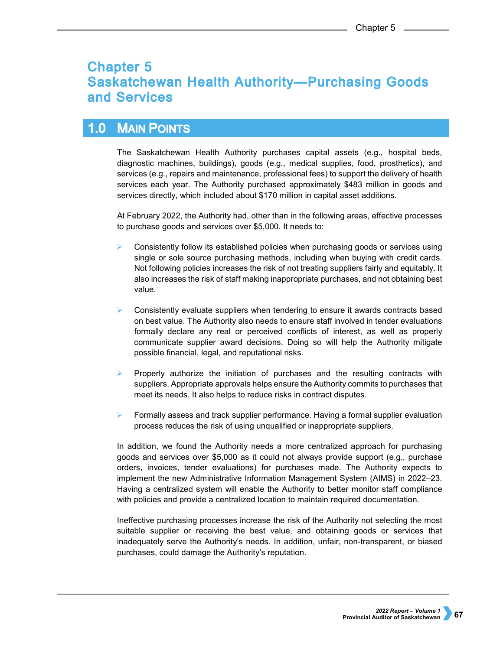# **Chapter 5 Saskatchewan Health Authority-Purchasing Goods** and Services

#### $1.0$ **MAIN POINTS**

The Saskatchewan Health Authority purchases capital assets (e.g., hospital beds, diagnostic machines, buildings), goods (e.g., medical supplies, food, prosthetics), and services (e.g., repairs and maintenance, professional fees) to support the delivery of health services each year. The Authority purchased approximately \$483 million in goods and services directly, which included about \$170 million in capital asset additions.

At February 2022, the Authority had, other than in the following areas, effective processes to purchase goods and services over \$5,000. It needs to:

- $\triangleright$  Consistently follow its established policies when purchasing goods or services using single or sole source purchasing methods, including when buying with credit cards. Not following policies increases the risk of not treating suppliers fairly and equitably. It also increases the risk of staff making inappropriate purchases, and not obtaining best value.
- Consistently evaluate suppliers when tendering to ensure it awards contracts based on best value. The Authority also needs to ensure staff involved in tender evaluations formally declare any real or perceived conflicts of interest, as well as properly communicate supplier award decisions. Doing so will help the Authority mitigate possible financial, legal, and reputational risks.
- $\triangleright$  Properly authorize the initiation of purchases and the resulting contracts with suppliers. Appropriate approvals helps ensure the Authority commits to purchases that meet its needs. It also helps to reduce risks in contract disputes.
- Formally assess and track supplier performance. Having a formal supplier evaluation process reduces the risk of using unqualified or inappropriate suppliers.

In addition, we found the Authority needs a more centralized approach for purchasing goods and services over \$5,000 as it could not always provide support (e.g., purchase orders, invoices, tender evaluations) for purchases made. The Authority expects to implement the new Administrative Information Management System (AIMS) in 2022–23. Having a centralized system will enable the Authority to better monitor staff compliance with policies and provide a centralized location to maintain required documentation.

Ineffective purchasing processes increase the risk of the Authority not selecting the most suitable supplier or receiving the best value, and obtaining goods or services that inadequately serve the Authority's needs. In addition, unfair, non-transparent, or biased purchases, could damage the Authority's reputation.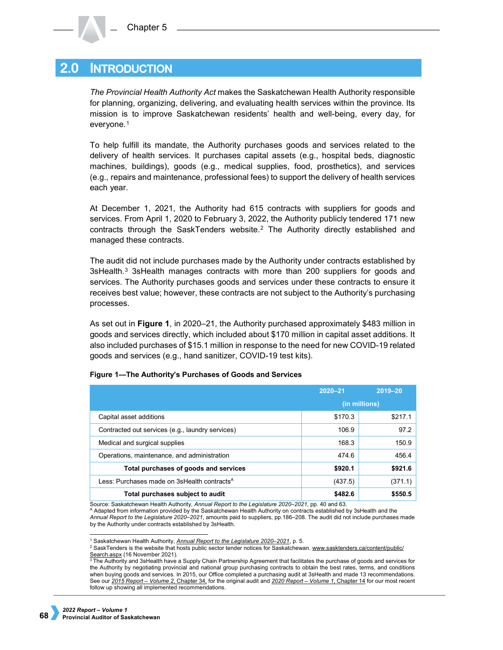#### $2.0\,$ **INTRODUCTION**

*The Provincial Health Authority Act* makes the Saskatchewan Health Authority responsible for planning, organizing, delivering, and evaluating health services within the province. Its mission is to improve Saskatchewan residents' health and well-being, every day, for everyone.[1](#page-1-0)

To help fulfill its mandate, the Authority purchases goods and services related to the delivery of health services. It purchases capital assets (e.g., hospital beds, diagnostic machines, buildings), goods (e.g., medical supplies, food, prosthetics), and services (e.g., repairs and maintenance, professional fees) to support the delivery of health services each year.

At December 1, 2021, the Authority had 615 contracts with suppliers for goods and services. From April 1, 2020 to February 3, 2022, the Authority publicly tendered 171 new contracts through the SaskTenders website.[2](#page-1-1) The Authority directly established and managed these contracts.

The audit did not include purchases made by the Authority under contracts established by [3](#page-1-2)sHealth.<sup>3</sup> 3sHealth manages contracts with more than 200 suppliers for goods and services. The Authority purchases goods and services under these contracts to ensure it receives best value; however, these contracts are not subject to the Authority's purchasing processes.

As set out in **Figure 1**, in 2020–21, the Authority purchased approximately \$483 million in goods and services directly, which included about \$170 million in capital asset additions. It also included purchases of \$15.1 million in response to the need for new COVID-19 related goods and services (e.g., hand sanitizer, COVID-19 test kits).

|                                                         | $2020 - 21$   | $2019 - 20$ |
|---------------------------------------------------------|---------------|-------------|
|                                                         | (in millions) |             |
| Capital asset additions                                 | \$170.3       | \$217.1     |
| Contracted out services (e.g., laundry services)        | 106.9         | 97.2        |
| Medical and surgical supplies                           | 168.3         | 150.9       |
| Operations, maintenance, and administration             | 474.6         | 456.4       |
| Total purchases of goods and services                   | \$920.1       | \$921.6     |
| Less: Purchases made on 3sHealth contracts <sup>A</sup> | (437.5)       | (371.1)     |
| Total purchases subject to audit                        | \$482.6       | \$550.5     |

## **Figure 1—The Authority's Purchases of Goods and Services**

Source: Saskatchewan Health Authority, *Annual Report to the Legislature 2020–2021*, pp. 40 and 63.

<sup>A</sup> Adapted from information provided by the Saskatchewan Health Authority on contracts established by 3sHealth and the *Annual Report to the Legislature 2020–2021*, amounts paid to suppliers, pp.186–208. The audit did not include purchases made by the Authority under contracts established by 3sHealth.

 <sup>1</sup> Saskatchewan Health Authority, *[Annual Report to the Legislature 2020–2021](https://www.saskhealthauthority.ca/sites/default/files/2021-07/2021-07-28-CEC-20-21SHAAnnualReport-vFinal.pdf)*, p. 5.

<span id="page-1-1"></span><span id="page-1-0"></span><sup>&</sup>lt;sup>2</sup> SaskTenders is the website that hosts public sector tender notices for Saskatchewan[. www.sasktenders.ca/content/public/](http://www.sasktenders.ca/content/public/Search.aspx) [Search.aspx](http://www.sasktenders.ca/content/public/Search.aspx) (16 November 2021).

<span id="page-1-2"></span> $3$  The Authority and 3sHealth have a Supply Chain Partnership Agreement that facilitates the purchase of goods and services for the Authority by negotiating provincial and national group purchasing contracts to obtain the best rates, terms, and conditions when buying goods and services. In 2015, our Office completed a purchasing audit at 3sHealth and made 13 recommendations. See our *[2015 Report – Volume 2](https://auditor.sk.ca/pub/publications/public_reports/2015/Volume_2/34_Health%20Shared%20Services.pdf)*, Chapter 34, for the original audit and *[2020 Report – Volume 1](https://auditor.sk.ca/pub/publications/public_reports/2020/Volume_1/CH%2014%20-%203sHealth%E2%80%94Procuring%20Goods%20and%20Services%20for%20Member%20Agencies.pdf)*, Chapter 14 for our most recent follow up showing all implemented recommendations.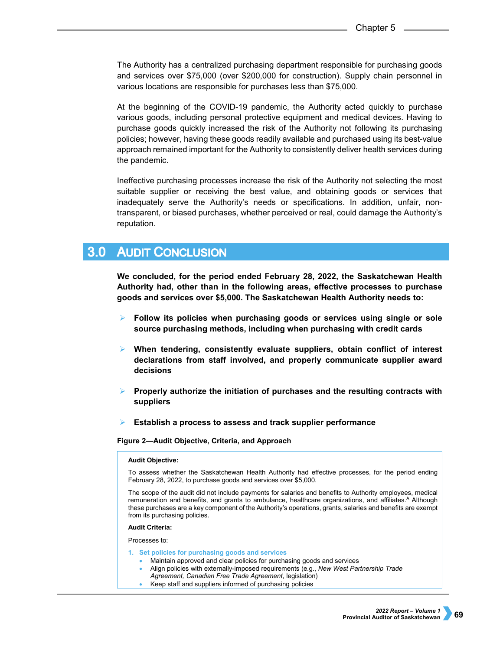The Authority has a centralized purchasing department responsible for purchasing goods and services over \$75,000 (over \$200,000 for construction). Supply chain personnel in various locations are responsible for purchases less than \$75,000.

At the beginning of the COVID-19 pandemic, the Authority acted quickly to purchase various goods, including personal protective equipment and medical devices. Having to purchase goods quickly increased the risk of the Authority not following its purchasing policies; however, having these goods readily available and purchased using its best-value approach remained important for the Authority to consistently deliver health services during the pandemic.

Ineffective purchasing processes increase the risk of the Authority not selecting the most suitable supplier or receiving the best value, and obtaining goods or services that inadequately serve the Authority's needs or specifications. In addition, unfair, nontransparent, or biased purchases, whether perceived or real, could damage the Authority's reputation.

#### **AUDIT CONCLUSION**  $3.0<sub>1</sub>$

**We concluded, for the period ended February 28, 2022, the Saskatchewan Health Authority had, other than in the following areas, effective processes to purchase goods and services over \$5,000. The Saskatchewan Health Authority needs to:**

- **Follow its policies when purchasing goods or services using single or sole source purchasing methods, including when purchasing with credit cards**
- **When tendering, consistently evaluate suppliers, obtain conflict of interest declarations from staff involved, and properly communicate supplier award decisions**
- **Properly authorize the initiation of purchases and the resulting contracts with suppliers**
- **Establish a process to assess and track supplier performance**

**Figure 2—Audit Objective, Criteria, and Approach** 

### **Audit Objective:**

To assess whether the Saskatchewan Health Authority had effective processes, for the period ending February 28, 2022, to purchase goods and services over \$5,000.

The scope of the audit did not include payments for salaries and benefits to Authority employees, medical remuneration and benefits, and grants to ambulance, healthcare organizations, and affiliates.<sup>A</sup> Although these purchases are a key component of the Authority's operations, grants, salaries and benefits are exempt from its purchasing policies.

### **Audit Criteria:**

Processes to:

- **1. Set policies for purchasing goods and services**
	- Maintain approved and clear policies for purchasing goods and services
	- Align policies with externally-imposed requirements (e.g., *New West Partnership Trade Agreement, Canadian Free Trade Agreement*, legislation)
	- Keep staff and suppliers informed of purchasing policies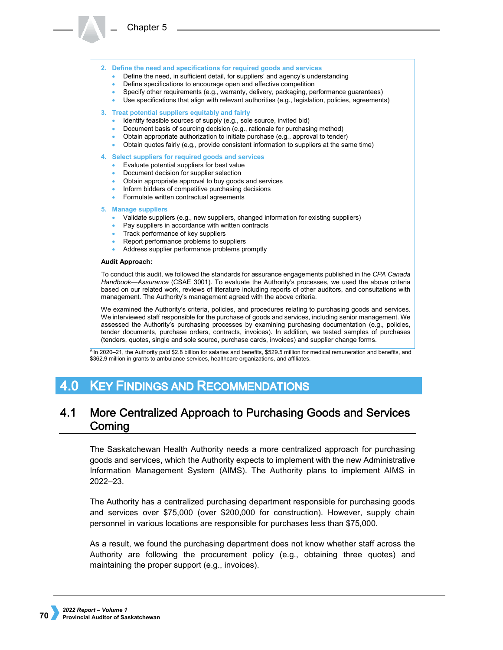

- Define the need, in sufficient detail, for suppliers' and agency's understanding
- Define specifications to encourage open and effective competition
- Specify other requirements (e.g., warranty, delivery, packaging, performance guarantees)
- Use specifications that align with relevant authorities (e.g., legislation, policies, agreements)

### **3. Treat potential suppliers equitably and fairly**

- Identify feasible sources of supply (e.g., sole source, invited bid)
- Document basis of sourcing decision (e.g., rationale for purchasing method)
- Obtain appropriate authorization to initiate purchase (e.g., approval to tender)
- Obtain quotes fairly (e.g., provide consistent information to suppliers at the same time)

### **4. Select suppliers for required goods and services**

- Evaluate potential suppliers for best value
- Document decision for supplier selection
- Obtain appropriate approval to buy goods and services
- Inform bidders of competitive purchasing decisions
- Formulate written contractual agreements

#### **5. Manage suppliers**

- Validate suppliers (e.g., new suppliers, changed information for existing suppliers)
- Pay suppliers in accordance with written contracts
- Track performance of key suppliers
- Report performance problems to suppliers
- Address supplier performance problems promptly

#### **Audit Approach:**

To conduct this audit, we followed the standards for assurance engagements published in the *CPA Canada Handbook—Assurance* (CSAE 3001). To evaluate the Authority's processes, we used the above criteria based on our related work, reviews of literature including reports of other auditors, and consultations with management. The Authority's management agreed with the above criteria.

We examined the Authority's criteria, policies, and procedures relating to purchasing goods and services. We interviewed staff responsible for the purchase of goods and services, including senior management. We assessed the Authority's purchasing processes by examining purchasing documentation (e.g., policies, tender documents, purchase orders, contracts, invoices). In addition, we tested samples of purchases (tenders, quotes, single and sole source, purchase cards, invoices) and supplier change forms.

<sup>A</sup> In 2020–21, the Authority paid \$2.8 billion for salaries and benefits, \$529.5 million for medical remuneration and benefits, and \$362.9 million in grants to ambulance services, healthcare organizations, and affiliates.

#### **KEY FINDINGS AND RECOMMENDATIONS** 4.0

#### $4.1$ More Centralized Approach to Purchasing Goods and Services Coming

The Saskatchewan Health Authority needs a more centralized approach for purchasing goods and services, which the Authority expects to implement with the new Administrative Information Management System (AIMS). The Authority plans to implement AIMS in 2022–23.

The Authority has a centralized purchasing department responsible for purchasing goods and services over \$75,000 (over \$200,000 for construction). However, supply chain personnel in various locations are responsible for purchases less than \$75,000.

As a result, we found the purchasing department does not know whether staff across the Authority are following the procurement policy (e.g., obtaining three quotes) and maintaining the proper support (e.g., invoices).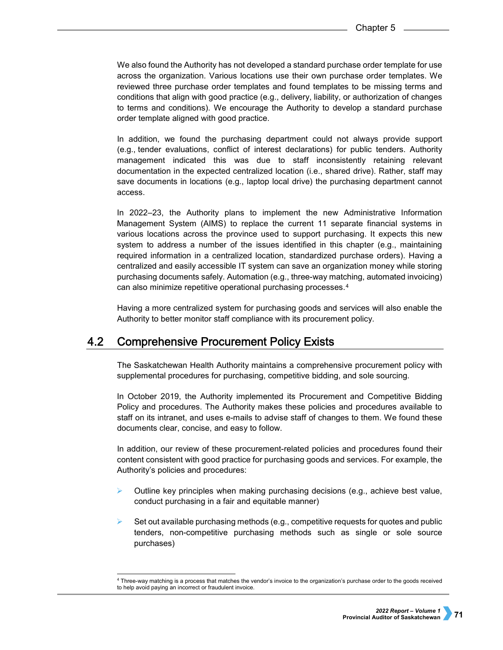We also found the Authority has not developed a standard purchase order template for use across the organization. Various locations use their own purchase order templates. We reviewed three purchase order templates and found templates to be missing terms and conditions that align with good practice (e.g., delivery, liability, or authorization of changes to terms and conditions). We encourage the Authority to develop a standard purchase order template aligned with good practice.

In addition, we found the purchasing department could not always provide support (e.g., tender evaluations, conflict of interest declarations) for public tenders. Authority management indicated this was due to staff inconsistently retaining relevant documentation in the expected centralized location (i.e., shared drive). Rather, staff may save documents in locations (e.g., laptop local drive) the purchasing department cannot access.

In 2022–23, the Authority plans to implement the new Administrative Information Management System (AIMS) to replace the current 11 separate financial systems in various locations across the province used to support purchasing. It expects this new system to address a number of the issues identified in this chapter (e.g., maintaining required information in a centralized location, standardized purchase orders). Having a centralized and easily accessible IT system can save an organization money while storing purchasing documents safely. Automation (e.g., three-way matching, automated invoicing) can also minimize repetitive operational purchasing processes.[4](#page-4-0)

Having a more centralized system for purchasing goods and services will also enable the Authority to better monitor staff compliance with its procurement policy.

#### $4.2<sub>1</sub>$ **Comprehensive Procurement Policy Exists**

The Saskatchewan Health Authority maintains a comprehensive procurement policy with supplemental procedures for purchasing, competitive bidding, and sole sourcing.

In October 2019, the Authority implemented its Procurement and Competitive Bidding Policy and procedures. The Authority makes these policies and procedures available to staff on its intranet, and uses e-mails to advise staff of changes to them. We found these documents clear, concise, and easy to follow.

In addition, our review of these procurement-related policies and procedures found their content consistent with good practice for purchasing goods and services. For example, the Authority's policies and procedures:

- Outline key principles when making purchasing decisions (e.g., achieve best value, conduct purchasing in a fair and equitable manner)
- $\triangleright$  Set out available purchasing methods (e.g., competitive requests for quotes and public tenders, non-competitive purchasing methods such as single or sole source purchases)

<span id="page-4-0"></span> <sup>4</sup> Three-way matching is a process that matches the vendor's invoice to the organization's purchase order to the goods received to help avoid paying an incorrect or fraudulent invoice.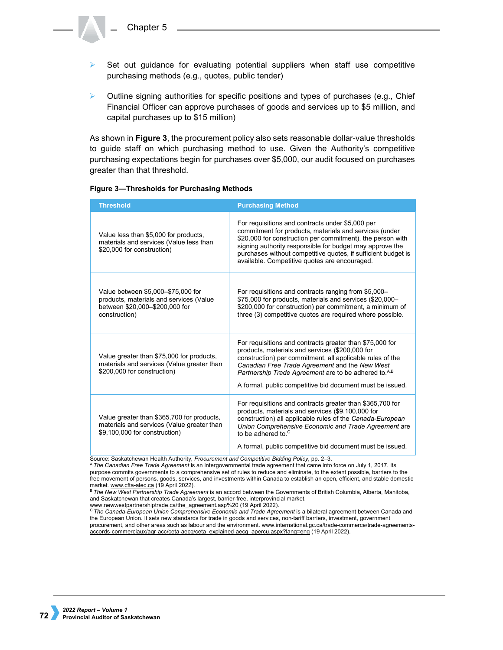

 $\triangleright$  Outline signing authorities for specific positions and types of purchases (e.g., Chief Financial Officer can approve purchases of goods and services up to \$5 million, and capital purchases up to \$15 million)

As shown in **Figure 3**, the procurement policy also sets reasonable dollar-value thresholds to guide staff on which purchasing method to use. Given the Authority's competitive purchasing expectations begin for purchases over \$5,000, our audit focused on purchases greater than that threshold.

### **Figure 3—Thresholds for Purchasing Methods**

| <b>Threshold</b>                                                                                                                 | <b>Purchasing Method</b>                                                                                                                                                                                                                                                                                                                                    |
|----------------------------------------------------------------------------------------------------------------------------------|-------------------------------------------------------------------------------------------------------------------------------------------------------------------------------------------------------------------------------------------------------------------------------------------------------------------------------------------------------------|
| Value less than \$5,000 for products,<br>materials and services (Value less than<br>\$20,000 for construction)                   | For requisitions and contracts under \$5,000 per<br>commitment for products, materials and services (under<br>\$20,000 for construction per commitment), the person with<br>signing authority responsible for budget may approve the<br>purchases without competitive quotes, if sufficient budget is<br>available. Competitive quotes are encouraged.      |
| Value between \$5,000-\$75,000 for<br>products, materials and services (Value<br>between \$20,000-\$200,000 for<br>construction) | For requisitions and contracts ranging from \$5,000-<br>\$75,000 for products, materials and services (\$20,000-<br>\$200,000 for construction) per commitment, a minimum of<br>three (3) competitive quotes are required where possible.                                                                                                                   |
| Value greater than \$75,000 for products,<br>materials and services (Value greater than<br>\$200,000 for construction)           | For requisitions and contracts greater than \$75,000 for<br>products, materials and services (\$200,000 for<br>construction) per commitment, all applicable rules of the<br>Canadian Free Trade Agreement and the New West<br>Partnership Trade Agreement are to be adhered to. <sup>A,B</sup><br>A formal, public competitive bid document must be issued. |
| Value greater than \$365,700 for products,<br>materials and services (Value greater than<br>\$9,100,000 for construction)        | For requisitions and contracts greater than \$365,700 for<br>products, materials and services (\$9,100,000 for<br>construction) all applicable rules of the Canada-European<br>Union Comprehensive Economic and Trade Agreement are<br>to be adhered to <sup>c</sup><br>A formal, public competitive bid document must be issued.                           |

Source: Saskatchewan Health Authority, *Procurement and Competitive Bidding Policy*, pp. 2–3.

<sup>A</sup>*The Canadian Free Trade Agreement* is an intergovernmental trade agreement that came into force on July 1, 2017. Its purpose commits governments to a comprehensive set of rules to reduce and eliminate, to the extent possible, barriers to the free movement of persons, goods, services, and investments within Canada to establish an open, efficient, and stable domestic market[. www.cfta-alec.ca](http://www.cfta-alec.ca/) (19 April 2022).

<sup>B</sup>*The New West Partnership Trade Agreement* is an accord between the Governments of British Columbia, Alberta, Manitoba, and Saskatchewan that creates Canada's largest, barrier-free, interprovincial market.<br>www.newwestpartnershiptrade.ca/the agreement.asp%20 (19 April 2022).

The Canada-European Union Comprehensive Economic and Trade Agreement is a bilateral agreement between Canada and the European Union. It sets new standards for trade in goods and services, non-tariff barriers, investment, government procurement, and other areas such as labour and the environment. [www.international.gc.ca/trade-commerce/trade-agreements](http://www.international.gc.ca/trade-commerce/trade-agreements-accords-commerciaux/agr-acc/ceta-aecg/ceta_explained-aecg_apercu.aspx?lang=eng)[accords-commerciaux/agr-acc/ceta-aecg/ceta\\_explained-aecg\\_apercu.aspx?lang=eng](http://www.international.gc.ca/trade-commerce/trade-agreements-accords-commerciaux/agr-acc/ceta-aecg/ceta_explained-aecg_apercu.aspx?lang=eng) (19 April 2022).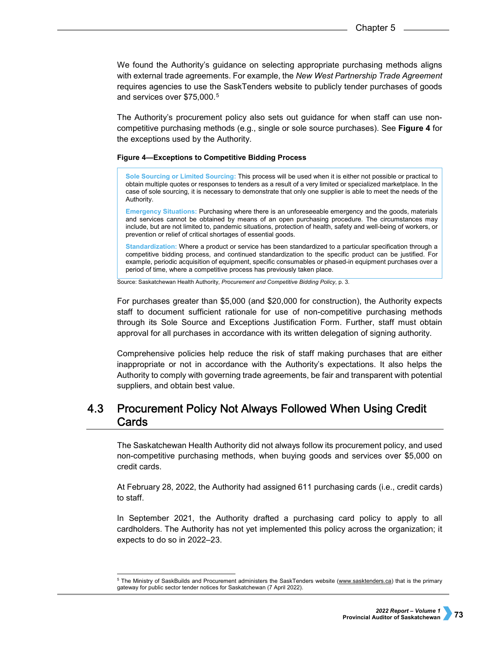We found the Authority's guidance on selecting appropriate purchasing methods aligns with external trade agreements. For example, the *New West Partnership Trade Agreement* requires agencies to use the SaskTenders website to publicly tender purchases of goods and services over \$7[5](#page-6-0),000.<sup>5</sup>

The Authority's procurement policy also sets out guidance for when staff can use noncompetitive purchasing methods (e.g., single or sole source purchases). See **Figure 4** for the exceptions used by the Authority.

### **Figure 4—Exceptions to Competitive Bidding Process**

**Sole Sourcing or Limited Sourcing:** This process will be used when it is either not possible or practical to obtain multiple quotes or responses to tenders as a result of a very limited or specialized marketplace. In the case of sole sourcing, it is necessary to demonstrate that only one supplier is able to meet the needs of the Authority.

**Emergency Situations:** Purchasing where there is an unforeseeable emergency and the goods, materials and services cannot be obtained by means of an open purchasing procedure. The circumstances may include, but are not limited to, pandemic situations, protection of health, safety and well-being of workers, or prevention or relief of critical shortages of essential goods.

**Standardization:** Where a product or service has been standardized to a particular specification through a competitive bidding process, and continued standardization to the specific product can be justified. For example, periodic acquisition of equipment, specific consumables or phased-in equipment purchases over a period of time, where a competitive process has previously taken place.

Source: Saskatchewan Health Authority, *Procurement and Competitive Bidding Policy*, p. 3.

For purchases greater than \$5,000 (and \$20,000 for construction), the Authority expects staff to document sufficient rationale for use of non-competitive purchasing methods through its Sole Source and Exceptions Justification Form. Further, staff must obtain approval for all purchases in accordance with its written delegation of signing authority.

Comprehensive policies help reduce the risk of staff making purchases that are either inappropriate or not in accordance with the Authority's expectations. It also helps the Authority to comply with governing trade agreements, be fair and transparent with potential suppliers, and obtain best value.

### $4.3$ **Procurement Policy Not Always Followed When Using Credit** Cards

The Saskatchewan Health Authority did not always follow its procurement policy, and used non-competitive purchasing methods, when buying goods and services over \$5,000 on credit cards.

At February 28, 2022, the Authority had assigned 611 purchasing cards (i.e., credit cards) to staff.

In September 2021, the Authority drafted a purchasing card policy to apply to all cardholders. The Authority has not yet implemented this policy across the organization; it expects to do so in 2022–23.

<span id="page-6-0"></span><sup>&</sup>lt;sub>5</sub><br>5 The Ministry of SaskBuilds and Procurement administers the SaskTenders website (<u>www.sasktenders.ca</u>) that is the primary gateway for public sector tender notices for Saskatchewan (7 April 2022).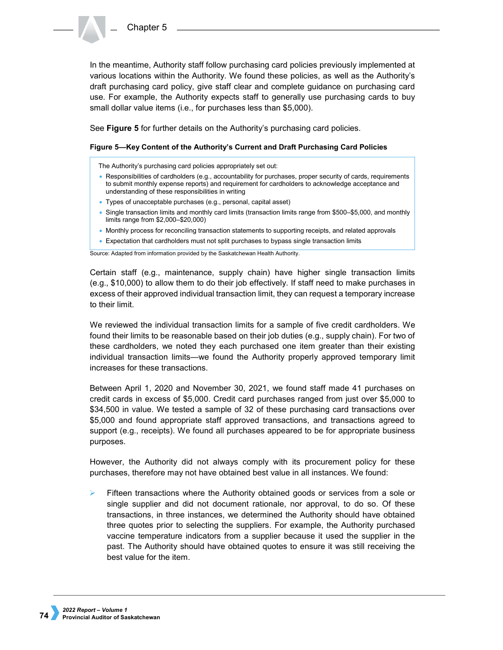In the meantime, Authority staff follow purchasing card policies previously implemented at various locations within the Authority. We found these policies, as well as the Authority's draft purchasing card policy, give staff clear and complete guidance on purchasing card use. For example, the Authority expects staff to generally use purchasing cards to buy small dollar value items (i.e., for purchases less than \$5,000).

See **Figure 5** for further details on the Authority's purchasing card policies.

## **Figure 5—Key Content of the Authority's Current and Draft Purchasing Card Policies**

The Authority's purchasing card policies appropriately set out:

- Responsibilities of cardholders (e.g., accountability for purchases, proper security of cards, requirements to submit monthly expense reports) and requirement for cardholders to acknowledge acceptance and understanding of these responsibilities in writing
- Types of unacceptable purchases (e.g., personal, capital asset)
- Single transaction limits and monthly card limits (transaction limits range from \$500–\$5,000, and monthly limits range from \$2,000–\$20,000)
- Monthly process for reconciling transaction statements to supporting receipts, and related approvals
- Expectation that cardholders must not split purchases to bypass single transaction limits

Source: Adapted from information provided by the Saskatchewan Health Authority.

Certain staff (e.g., maintenance, supply chain) have higher single transaction limits (e.g., \$10,000) to allow them to do their job effectively. If staff need to make purchases in excess of their approved individual transaction limit, they can request a temporary increase to their limit.

We reviewed the individual transaction limits for a sample of five credit cardholders. We found their limits to be reasonable based on their job duties (e.g., supply chain). For two of these cardholders, we noted they each purchased one item greater than their existing individual transaction limits—we found the Authority properly approved temporary limit increases for these transactions.

Between April 1, 2020 and November 30, 2021, we found staff made 41 purchases on credit cards in excess of \$5,000. Credit card purchases ranged from just over \$5,000 to \$34,500 in value. We tested a sample of 32 of these purchasing card transactions over \$5,000 and found appropriate staff approved transactions, and transactions agreed to support (e.g., receipts). We found all purchases appeared to be for appropriate business purposes.

However, the Authority did not always comply with its procurement policy for these purchases, therefore may not have obtained best value in all instances. We found:

 Fifteen transactions where the Authority obtained goods or services from a sole or single supplier and did not document rationale, nor approval, to do so. Of these transactions, in three instances, we determined the Authority should have obtained three quotes prior to selecting the suppliers. For example, the Authority purchased vaccine temperature indicators from a supplier because it used the supplier in the past. The Authority should have obtained quotes to ensure it was still receiving the best value for the item.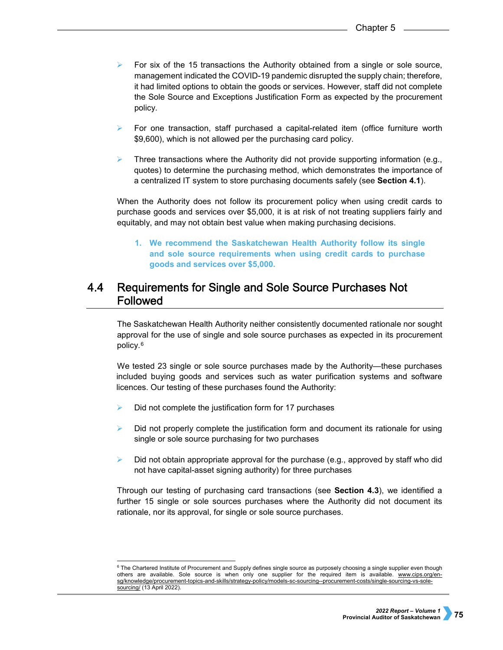- $\triangleright$  For six of the 15 transactions the Authority obtained from a single or sole source, management indicated the COVID-19 pandemic disrupted the supply chain; therefore, it had limited options to obtain the goods or services. However, staff did not complete the Sole Source and Exceptions Justification Form as expected by the procurement policy.
- $\triangleright$  For one transaction, staff purchased a capital-related item (office furniture worth \$9,600), which is not allowed per the purchasing card policy.
- $\triangleright$  Three transactions where the Authority did not provide supporting information (e.g., quotes) to determine the purchasing method, which demonstrates the importance of a centralized IT system to store purchasing documents safely (see **Section 4.1**).

When the Authority does not follow its procurement policy when using credit cards to purchase goods and services over \$5,000, it is at risk of not treating suppliers fairly and equitably, and may not obtain best value when making purchasing decisions.

**1. We recommend the Saskatchewan Health Authority follow its single and sole source requirements when using credit cards to purchase goods and services over \$5,000.** 

### $4.4$ Requirements for Single and Sole Source Purchases Not Followed

The Saskatchewan Health Authority neither consistently documented rationale nor sought approval for the use of single and sole source purchases as expected in its procurement policy.[6](#page-8-0)

We tested 23 single or sole source purchases made by the Authority—these purchases included buying goods and services such as water purification systems and software licences. Our testing of these purchases found the Authority:

- $\triangleright$  Did not complete the justification form for 17 purchases
- $\triangleright$  Did not properly complete the justification form and document its rationale for using single or sole source purchasing for two purchases
- Did not obtain appropriate approval for the purchase (e.g., approved by staff who did not have capital-asset signing authority) for three purchases

Through our testing of purchasing card transactions (see **Section 4.3**), we identified a further 15 single or sole sources purchases where the Authority did not document its rationale, nor its approval, for single or sole source purchases.

<span id="page-8-0"></span> $\overline{\phantom{a}}$  The Chartered Institute of Procurement and Supply defines single source as purposely choosing a single supplier even though others are available. Sole source is when only one supplier for the required item is available. [www.cips.org/en](http://www.cips.org/en-sg/knowledge/procurement-topics-and-skills/strategy-policy/models-sc-sourcing--procurement-costs/single-sourcing-vs-sole-sourcing/)[sg/knowledge/procurement-topics-and-skills/strategy-policy/models-sc-sourcing--procurement-costs/single-sourcing-vs-sole](http://www.cips.org/en-sg/knowledge/procurement-topics-and-skills/strategy-policy/models-sc-sourcing--procurement-costs/single-sourcing-vs-sole-sourcing/)[sourcing/](http://www.cips.org/en-sg/knowledge/procurement-topics-and-skills/strategy-policy/models-sc-sourcing--procurement-costs/single-sourcing-vs-sole-sourcing/) (13 April 2022).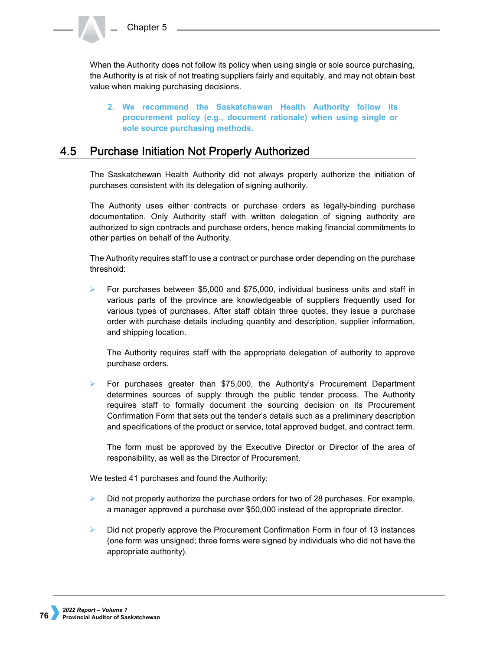When the Authority does not follow its policy when using single or sole source purchasing, the Authority is at risk of not treating suppliers fairly and equitably, and may not obtain best value when making purchasing decisions.

**2. We recommend the Saskatchewan Health Authority follow its procurement policy (e.g., document rationale) when using single or sole source purchasing methods.** 

#### $4.5$ **Purchase Initiation Not Properly Authorized**

The Saskatchewan Health Authority did not always properly authorize the initiation of purchases consistent with its delegation of signing authority.

The Authority uses either contracts or purchase orders as legally-binding purchase documentation. Only Authority staff with written delegation of signing authority are authorized to sign contracts and purchase orders, hence making financial commitments to other parties on behalf of the Authority.

The Authority requires staff to use a contract or purchase order depending on the purchase threshold:

For purchases between \$5,000 and \$75,000, individual business units and staff in various parts of the province are knowledgeable of suppliers frequently used for various types of purchases. After staff obtain three quotes, they issue a purchase order with purchase details including quantity and description, supplier information, and shipping location.

The Authority requires staff with the appropriate delegation of authority to approve purchase orders.

 For purchases greater than \$75,000, the Authority's Procurement Department determines sources of supply through the public tender process. The Authority requires staff to formally document the sourcing decision on its Procurement Confirmation Form that sets out the tender's details such as a preliminary description and specifications of the product or service, total approved budget, and contract term.

The form must be approved by the Executive Director or Director of the area of responsibility, as well as the Director of Procurement.

We tested 41 purchases and found the Authority:

- $\triangleright$  Did not properly authorize the purchase orders for two of 28 purchases. For example, a manager approved a purchase over \$50,000 instead of the appropriate director.
- $\triangleright$  Did not properly approve the Procurement Confirmation Form in four of 13 instances (one form was unsigned; three forms were signed by individuals who did not have the appropriate authority).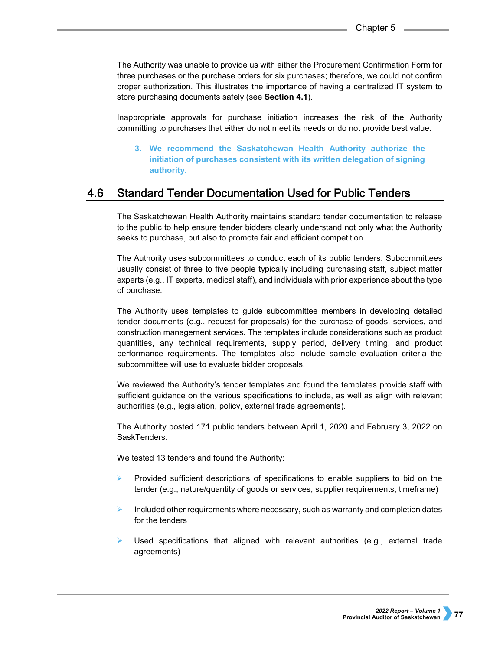The Authority was unable to provide us with either the Procurement Confirmation Form for three purchases or the purchase orders for six purchases; therefore, we could not confirm proper authorization. This illustrates the importance of having a centralized IT system to store purchasing documents safely (see **Section 4.1**).

Inappropriate approvals for purchase initiation increases the risk of the Authority committing to purchases that either do not meet its needs or do not provide best value.

**3. We recommend the Saskatchewan Health Authority authorize the initiation of purchases consistent with its written delegation of signing authority.**

#### 4.6 **Standard Tender Documentation Used for Public Tenders**

The Saskatchewan Health Authority maintains standard tender documentation to release to the public to help ensure tender bidders clearly understand not only what the Authority seeks to purchase, but also to promote fair and efficient competition.

The Authority uses subcommittees to conduct each of its public tenders. Subcommittees usually consist of three to five people typically including purchasing staff, subject matter experts (e.g., IT experts, medical staff), and individuals with prior experience about the type of purchase.

The Authority uses templates to guide subcommittee members in developing detailed tender documents (e.g., request for proposals) for the purchase of goods, services, and construction management services. The templates include considerations such as product quantities, any technical requirements, supply period, delivery timing, and product performance requirements. The templates also include sample evaluation criteria the subcommittee will use to evaluate bidder proposals.

We reviewed the Authority's tender templates and found the templates provide staff with sufficient guidance on the various specifications to include, as well as align with relevant authorities (e.g., legislation, policy, external trade agreements).

The Authority posted 171 public tenders between April 1, 2020 and February 3, 2022 on SaskTenders.

We tested 13 tenders and found the Authority:

- $\triangleright$  Provided sufficient descriptions of specifications to enable suppliers to bid on the tender (e.g., nature/quantity of goods or services, supplier requirements, timeframe)
- Included other requirements where necessary, such as warranty and completion dates for the tenders
- Used specifications that aligned with relevant authorities (e.g., external trade agreements)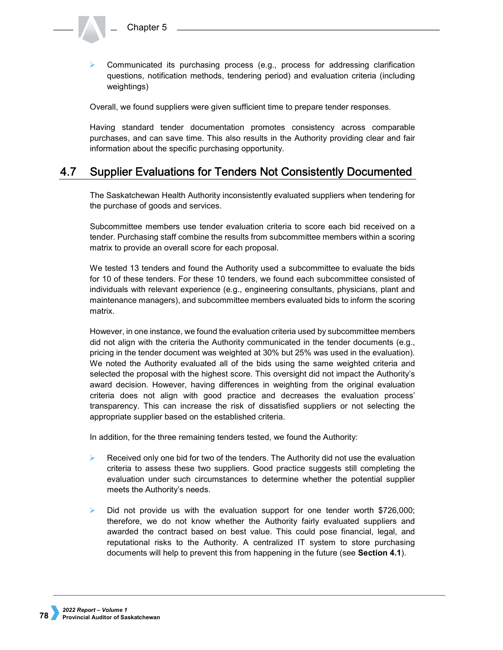Communicated its purchasing process (e.g., process for addressing clarification questions, notification methods, tendering period) and evaluation criteria (including weightings)

Overall, we found suppliers were given sufficient time to prepare tender responses.

Having standard tender documentation promotes consistency across comparable purchases, and can save time. This also results in the Authority providing clear and fair information about the specific purchasing opportunity.

#### 4.7 **Supplier Evaluations for Tenders Not Consistently Documented**

The Saskatchewan Health Authority inconsistently evaluated suppliers when tendering for the purchase of goods and services.

Subcommittee members use tender evaluation criteria to score each bid received on a tender. Purchasing staff combine the results from subcommittee members within a scoring matrix to provide an overall score for each proposal.

We tested 13 tenders and found the Authority used a subcommittee to evaluate the bids for 10 of these tenders. For these 10 tenders, we found each subcommittee consisted of individuals with relevant experience (e.g., engineering consultants, physicians, plant and maintenance managers), and subcommittee members evaluated bids to inform the scoring matrix.

However, in one instance, we found the evaluation criteria used by subcommittee members did not align with the criteria the Authority communicated in the tender documents (e.g., pricing in the tender document was weighted at 30% but 25% was used in the evaluation). We noted the Authority evaluated all of the bids using the same weighted criteria and selected the proposal with the highest score. This oversight did not impact the Authority's award decision. However, having differences in weighting from the original evaluation criteria does not align with good practice and decreases the evaluation process' transparency. This can increase the risk of dissatisfied suppliers or not selecting the appropriate supplier based on the established criteria.

In addition, for the three remaining tenders tested, we found the Authority:

- Received only one bid for two of the tenders. The Authority did not use the evaluation criteria to assess these two suppliers. Good practice suggests still completing the evaluation under such circumstances to determine whether the potential supplier meets the Authority's needs.
- $\triangleright$  Did not provide us with the evaluation support for one tender worth \$726,000; therefore, we do not know whether the Authority fairly evaluated suppliers and awarded the contract based on best value. This could pose financial, legal, and reputational risks to the Authority. A centralized IT system to store purchasing documents will help to prevent this from happening in the future (see **Section 4.1**).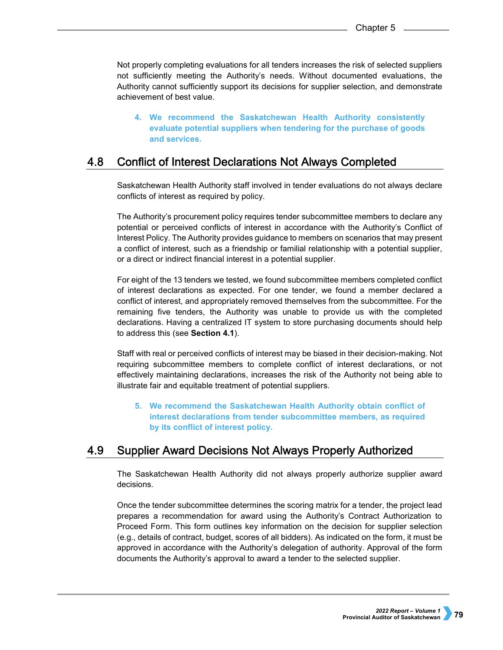Not properly completing evaluations for all tenders increases the risk of selected suppliers not sufficiently meeting the Authority's needs. Without documented evaluations, the Authority cannot sufficiently support its decisions for supplier selection, and demonstrate achievement of best value.

**4. We recommend the Saskatchewan Health Authority consistently evaluate potential suppliers when tendering for the purchase of goods and services.**

#### 4.8 **Conflict of Interest Declarations Not Always Completed**

Saskatchewan Health Authority staff involved in tender evaluations do not always declare conflicts of interest as required by policy.

The Authority's procurement policy requires tender subcommittee members to declare any potential or perceived conflicts of interest in accordance with the Authority's Conflict of Interest Policy. The Authority provides guidance to members on scenarios that may present a conflict of interest, such as a friendship or familial relationship with a potential supplier, or a direct or indirect financial interest in a potential supplier.

For eight of the 13 tenders we tested, we found subcommittee members completed conflict of interest declarations as expected. For one tender, we found a member declared a conflict of interest, and appropriately removed themselves from the subcommittee. For the remaining five tenders, the Authority was unable to provide us with the completed declarations. Having a centralized IT system to store purchasing documents should help to address this (see **Section 4.1**).

Staff with real or perceived conflicts of interest may be biased in their decision-making. Not requiring subcommittee members to complete conflict of interest declarations, or not effectively maintaining declarations, increases the risk of the Authority not being able to illustrate fair and equitable treatment of potential suppliers.

**5. We recommend the Saskatchewan Health Authority obtain conflict of interest declarations from tender subcommittee members, as required by its conflict of interest policy.** 

#### **Supplier Award Decisions Not Always Properly Authorized** 4.9

The Saskatchewan Health Authority did not always properly authorize supplier award decisions.

Once the tender subcommittee determines the scoring matrix for a tender, the project lead prepares a recommendation for award using the Authority's Contract Authorization to Proceed Form. This form outlines key information on the decision for supplier selection (e.g., details of contract, budget, scores of all bidders). As indicated on the form, it must be approved in accordance with the Authority's delegation of authority. Approval of the form documents the Authority's approval to award a tender to the selected supplier.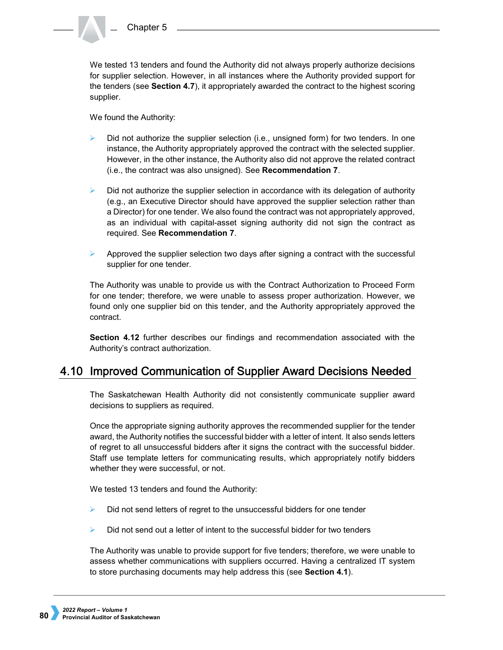We tested 13 tenders and found the Authority did not always properly authorize decisions for supplier selection. However, in all instances where the Authority provided support for the tenders (see **Section 4.7**), it appropriately awarded the contract to the highest scoring supplier.

We found the Authority:

- Did not authorize the supplier selection (i.e., unsigned form) for two tenders. In one instance, the Authority appropriately approved the contract with the selected supplier. However, in the other instance, the Authority also did not approve the related contract (i.e., the contract was also unsigned). See **Recommendation 7**.
- $\triangleright$  Did not authorize the supplier selection in accordance with its delegation of authority (e.g., an Executive Director should have approved the supplier selection rather than a Director) for one tender. We also found the contract was not appropriately approved, as an individual with capital-asset signing authority did not sign the contract as required. See **Recommendation 7**.
- Approved the supplier selection two days after signing a contract with the successful supplier for one tender.

The Authority was unable to provide us with the Contract Authorization to Proceed Form for one tender; therefore, we were unable to assess proper authorization. However, we found only one supplier bid on this tender, and the Authority appropriately approved the contract.

**Section 4.12** further describes our findings and recommendation associated with the Authority's contract authorization.

## 4.10 Improved Communication of Supplier Award Decisions Needed

The Saskatchewan Health Authority did not consistently communicate supplier award decisions to suppliers as required.

Once the appropriate signing authority approves the recommended supplier for the tender award, the Authority notifies the successful bidder with a letter of intent. It also sends letters of regret to all unsuccessful bidders after it signs the contract with the successful bidder. Staff use template letters for communicating results, which appropriately notify bidders whether they were successful, or not.

We tested 13 tenders and found the Authority:

- Did not send letters of regret to the unsuccessful bidders for one tender
- Did not send out a letter of intent to the successful bidder for two tenders

The Authority was unable to provide support for five tenders; therefore, we were unable to assess whether communications with suppliers occurred. Having a centralized IT system to store purchasing documents may help address this (see **Section 4.1**).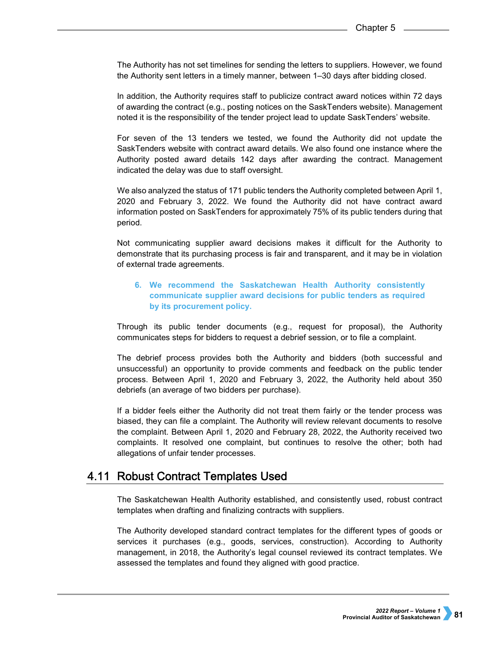The Authority has not set timelines for sending the letters to suppliers. However, we found the Authority sent letters in a timely manner, between 1–30 days after bidding closed.

In addition, the Authority requires staff to publicize contract award notices within 72 days of awarding the contract (e.g., posting notices on the SaskTenders website). Management noted it is the responsibility of the tender project lead to update SaskTenders' website.

For seven of the 13 tenders we tested, we found the Authority did not update the SaskTenders website with contract award details. We also found one instance where the Authority posted award details 142 days after awarding the contract. Management indicated the delay was due to staff oversight.

We also analyzed the status of 171 public tenders the Authority completed between April 1, 2020 and February 3, 2022. We found the Authority did not have contract award information posted on SaskTenders for approximately 75% of its public tenders during that period.

Not communicating supplier award decisions makes it difficult for the Authority to demonstrate that its purchasing process is fair and transparent, and it may be in violation of external trade agreements.

## **6. We recommend the Saskatchewan Health Authority consistently communicate supplier award decisions for public tenders as required by its procurement policy.**

Through its public tender documents (e.g., request for proposal), the Authority communicates steps for bidders to request a debrief session, or to file a complaint.

The debrief process provides both the Authority and bidders (both successful and unsuccessful) an opportunity to provide comments and feedback on the public tender process. Between April 1, 2020 and February 3, 2022, the Authority held about 350 debriefs (an average of two bidders per purchase).

If a bidder feels either the Authority did not treat them fairly or the tender process was biased, they can file a complaint. The Authority will review relevant documents to resolve the complaint. Between April 1, 2020 and February 28, 2022, the Authority received two complaints. It resolved one complaint, but continues to resolve the other; both had allegations of unfair tender processes.

## 4.11 Robust Contract Templates Used

The Saskatchewan Health Authority established, and consistently used, robust contract templates when drafting and finalizing contracts with suppliers.

The Authority developed standard contract templates for the different types of goods or services it purchases (e.g., goods, services, construction). According to Authority management, in 2018, the Authority's legal counsel reviewed its contract templates. We assessed the templates and found they aligned with good practice.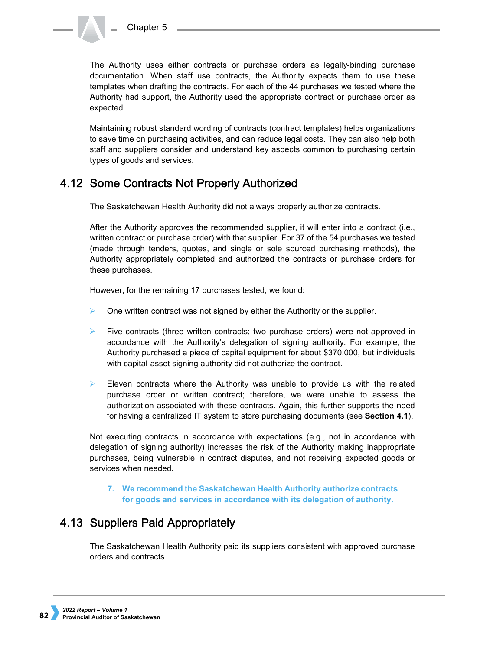

The Authority uses either contracts or purchase orders as legally-binding purchase documentation. When staff use contracts, the Authority expects them to use these templates when drafting the contracts. For each of the 44 purchases we tested where the Authority had support, the Authority used the appropriate contract or purchase order as expected.

Maintaining robust standard wording of contracts (contract templates) helps organizations to save time on purchasing activities, and can reduce legal costs. They can also help both staff and suppliers consider and understand key aspects common to purchasing certain types of goods and services.

## 4.12 Some Contracts Not Properly Authorized

The Saskatchewan Health Authority did not always properly authorize contracts.

After the Authority approves the recommended supplier, it will enter into a contract (i.e., written contract or purchase order) with that supplier. For 37 of the 54 purchases we tested (made through tenders, quotes, and single or sole sourced purchasing methods), the Authority appropriately completed and authorized the contracts or purchase orders for these purchases.

However, for the remaining 17 purchases tested, we found:

- One written contract was not signed by either the Authority or the supplier.
- Five contracts (three written contracts; two purchase orders) were not approved in accordance with the Authority's delegation of signing authority. For example, the Authority purchased a piece of capital equipment for about \$370,000, but individuals with capital-asset signing authority did not authorize the contract.
- Eleven contracts where the Authority was unable to provide us with the related purchase order or written contract; therefore, we were unable to assess the authorization associated with these contracts. Again, this further supports the need for having a centralized IT system to store purchasing documents (see **Section 4.1**).

Not executing contracts in accordance with expectations (e.g., not in accordance with delegation of signing authority) increases the risk of the Authority making inappropriate purchases, being vulnerable in contract disputes, and not receiving expected goods or services when needed.

## **7. We recommend the Saskatchewan Health Authority authorize contracts for goods and services in accordance with its delegation of authority.**

# 4.13 Suppliers Paid Appropriately

The Saskatchewan Health Authority paid its suppliers consistent with approved purchase orders and contracts.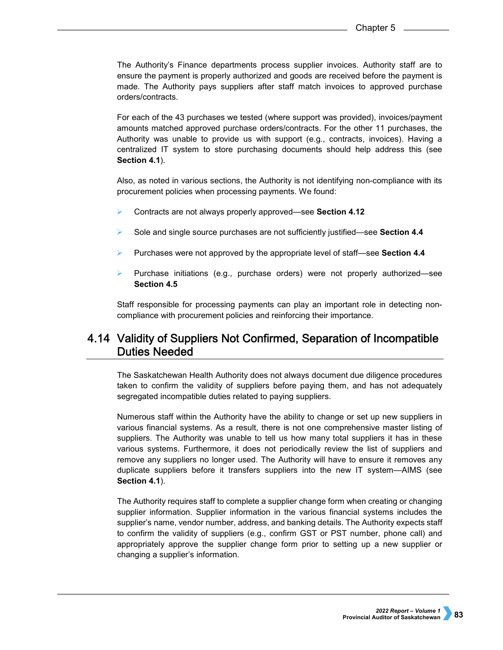The Authority's Finance departments process supplier invoices. Authority staff are to ensure the payment is properly authorized and goods are received before the payment is made. The Authority pays suppliers after staff match invoices to approved purchase orders/contracts.

For each of the 43 purchases we tested (where support was provided), invoices/payment amounts matched approved purchase orders/contracts. For the other 11 purchases, the Authority was unable to provide us with support (e.g., contracts, invoices). Having a centralized IT system to store purchasing documents should help address this (see **Section 4.1**).

Also, as noted in various sections, the Authority is not identifying non-compliance with its procurement policies when processing payments. We found:

- Contracts are not always properly approved—see **Section 4.12**
- Sole and single source purchases are not sufficiently justified—see **Section 4.4**
- Purchases were not approved by the appropriate level of staff—see **Section 4.4**
- Purchase initiations (e.g., purchase orders) were not properly authorized—see **Section 4.5**

Staff responsible for processing payments can play an important role in detecting noncompliance with procurement policies and reinforcing their importance.

## 4.14 Validity of Suppliers Not Confirmed, Separation of Incompatible **Duties Needed**

The Saskatchewan Health Authority does not always document due diligence procedures taken to confirm the validity of suppliers before paying them, and has not adequately segregated incompatible duties related to paying suppliers.

Numerous staff within the Authority have the ability to change or set up new suppliers in various financial systems. As a result, there is not one comprehensive master listing of suppliers. The Authority was unable to tell us how many total suppliers it has in these various systems. Furthermore, it does not periodically review the list of suppliers and remove any suppliers no longer used. The Authority will have to ensure it removes any duplicate suppliers before it transfers suppliers into the new IT system—AIMS (see **Section 4.1**).

The Authority requires staff to complete a supplier change form when creating or changing supplier information. Supplier information in the various financial systems includes the supplier's name, vendor number, address, and banking details. The Authority expects staff to confirm the validity of suppliers (e.g., confirm GST or PST number, phone call) and appropriately approve the supplier change form prior to setting up a new supplier or changing a supplier's information.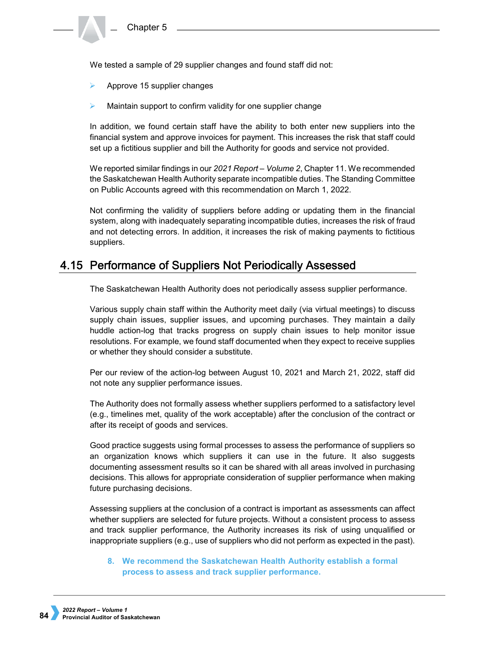We tested a sample of 29 supplier changes and found staff did not:

- Approve 15 supplier changes
- Maintain support to confirm validity for one supplier change

In addition, we found certain staff have the ability to both enter new suppliers into the financial system and approve invoices for payment. This increases the risk that staff could set up a fictitious supplier and bill the Authority for goods and service not provided.

We reported similar findings in our *2021 Report – Volume 2*, Chapter 11. We recommended the Saskatchewan Health Authority separate incompatible duties. The Standing Committee on Public Accounts agreed with this recommendation on March 1, 2022.

Not confirming the validity of suppliers before adding or updating them in the financial system, along with inadequately separating incompatible duties, increases the risk of fraud and not detecting errors. In addition, it increases the risk of making payments to fictitious suppliers.

## 4.15 Performance of Suppliers Not Periodically Assessed

The Saskatchewan Health Authority does not periodically assess supplier performance.

Various supply chain staff within the Authority meet daily (via virtual meetings) to discuss supply chain issues, supplier issues, and upcoming purchases. They maintain a daily huddle action-log that tracks progress on supply chain issues to help monitor issue resolutions. For example, we found staff documented when they expect to receive supplies or whether they should consider a substitute.

Per our review of the action-log between August 10, 2021 and March 21, 2022, staff did not note any supplier performance issues.

The Authority does not formally assess whether suppliers performed to a satisfactory level (e.g., timelines met, quality of the work acceptable) after the conclusion of the contract or after its receipt of goods and services.

Good practice suggests using formal processes to assess the performance of suppliers so an organization knows which suppliers it can use in the future. It also suggests documenting assessment results so it can be shared with all areas involved in purchasing decisions. This allows for appropriate consideration of supplier performance when making future purchasing decisions.

Assessing suppliers at the conclusion of a contract is important as assessments can affect whether suppliers are selected for future projects. Without a consistent process to assess and track supplier performance, the Authority increases its risk of using unqualified or inappropriate suppliers (e.g., use of suppliers who did not perform as expected in the past).

## **8. We recommend the Saskatchewan Health Authority establish a formal process to assess and track supplier performance.**